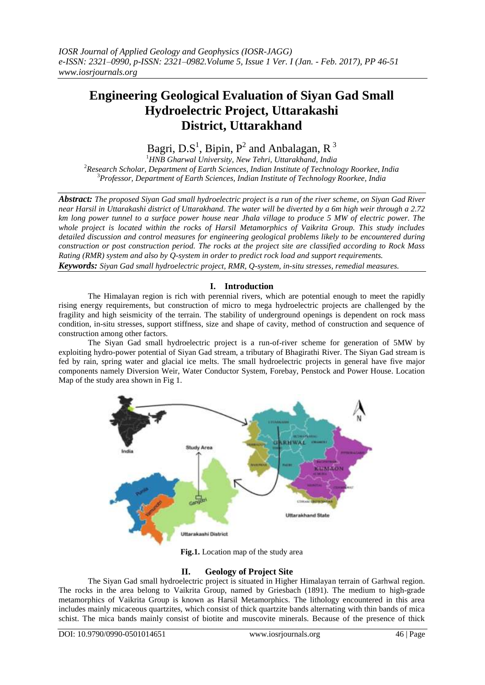# **Engineering Geological Evaluation of Siyan Gad Small Hydroelectric Project, Uttarakashi District, Uttarakhand**

Bagri, D.S<sup>1</sup>, Bipin, P<sup>2</sup> and Anbalagan, R<sup>3</sup>

<sup>1</sup>*HNB Gharwal University, New Tehri, Uttarakhand, India* <sup>2</sup>*Research Scholar, Department of Earth Sciences, Indian Institute of Technology Roorkee, India*  <sup>3</sup>*Professor, Department of Earth Sciences, Indian Institute of Technology Roorkee, India* 

*Abstract: The proposed Siyan Gad small hydroelectric project is a run of the river scheme, on Siyan Gad River near Harsil in Uttarakashi district of Uttarakhand. The water will be diverted by a 6m high weir through a 2.72 km long power tunnel to a surface power house near Jhala village to produce 5 MW of electric power. The whole project is located within the rocks of Harsil Metamorphics of Vaikrita Group. This study includes detailed discussion and control measures for engineering geological problems likely to be encountered during construction or post construction period. The rocks at the project site are classified according to Rock Mass Rating (RMR) system and also by Q-system in order to predict rock load and support requirements. Keywords: Siyan Gad small hydroelectric project, RMR, Q-system, in-situ stresses, remedial measures.*

# **I. Introduction**

The Himalayan region is rich with perennial rivers, which are potential enough to meet the rapidly rising energy requirements, but construction of micro to mega hydroelectric projects are challenged by the fragility and high seismicity of the terrain. The stability of underground openings is dependent on rock mass condition, in-situ stresses, support stiffness, size and shape of cavity, method of construction and sequence of construction among other factors.

The Siyan Gad small hydroelectric project is a run-of-river scheme for generation of 5MW by exploiting hydro-power potential of Siyan Gad stream, a tributary of Bhagirathi River. The Siyan Gad stream is fed by rain, spring water and glacial ice melts. The small hydroelectric projects in general have five major components namely Diversion Weir, Water Conductor System, Forebay, Penstock and Power House. Location Map of the study area shown in Fig 1.



**Fig.1.** Location map of the study area

# **II. Geology of Project Site**

The Siyan Gad small hydroelectric project is situated in Higher Himalayan terrain of Garhwal region. The rocks in the area belong to Vaikrita Group, named by Griesbach (1891). The medium to high-grade metamorphics of Vaikrita Group is known as Harsil Metamorphics. The lithology encountered in this area includes mainly micaceous quartzites, which consist of thick quartzite bands alternating with thin bands of mica schist. The mica bands mainly consist of biotite and muscovite minerals. Because of the presence of thick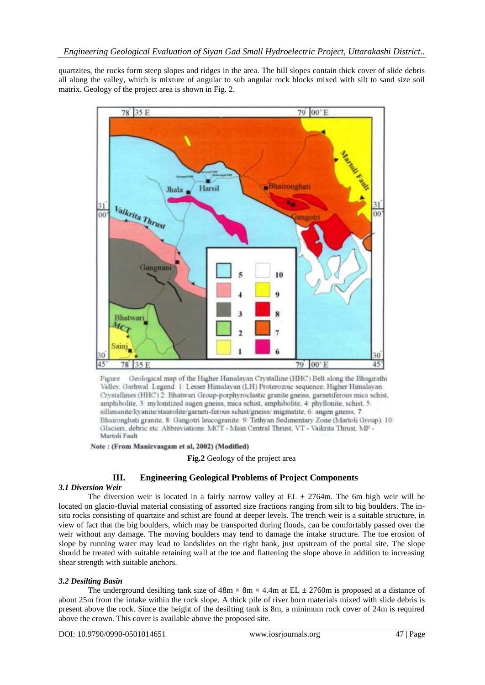quartzites, the rocks form steep slopes and ridges in the area. The hill slopes contain thick cover of slide debris all along the valley, which is mixture of angular to sub angular rock blocks mixed with silt to sand size soil matrix. Geology of the project area is shown in Fig. 2.



Geological map of the Higher Himalayan Crystalline (HHC) Belt along the Bhagirathi Figure Valley, Garhwal, Legend: 1: Lesser Himalayan (LH) Proterozoic sequence, Higher Himalayan Crystallines (HHC) 2: Bhatwari Group-porphyroclastic granite gneiss, garnetiferous mica schist. amphibolite, 3: mylonitized augen gneiss, mica schist, amphibolite, 4: phyllonite, schist, 5: sillimanite/kyanite/staurolite/garneti-ferous schist/gneiss/ migmatite, 6: angen gneiss, 7: Bhaironghati granite, 8: Gangotri leucogranite. 9: Tethyan Sedimentary Zone (Martoli Group). 10: Glaciers, debric etc. Abbreviations: MCT - Main Central Thrust, VT - Vaikrita Thrust, MF -Martoli Fault

Note: (From Manicvasgam et al, 2002) (Modified)

**Fig.2** Geology of the project area

# **III. Engineering Geological Problems of Project Components**

## *3.1 Diversion Weir*

The diversion weir is located in a fairly narrow valley at EL  $\pm$  2764m. The 6m high weir will be located on glacio-fluvial material consisting of assorted size fractions ranging from silt to big boulders. The insitu rocks consisting of quartzite and schist are found at deeper levels. The trench weir is a suitable structure, in view of fact that the big boulders, which may be transported during floods, can be comfortably passed over the weir without any damage. The moving boulders may tend to damage the intake structure. The toe erosion of slope by running water may lead to landslides on the right bank, just upstream of the portal site. The slope should be treated with suitable retaining wall at the toe and flattening the slope above in addition to increasing shear strength with suitable anchors.

## *3.2 Desilting Basin*

The underground desilting tank size of  $48m \times 8m \times 4.4m$  at EL  $\pm$  2760m is proposed at a distance of about 25m from the intake within the rock slope. A thick pile of river born materials mixed with slide debris is present above the rock. Since the height of the desilting tank is 8m, a minimum rock cover of 24m is required above the crown. This cover is available above the proposed site.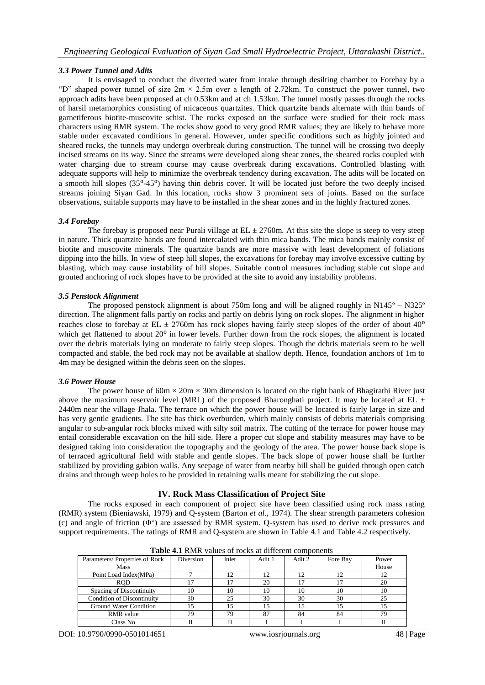#### *3.3 Power Tunnel and Adits*

It is envisaged to conduct the diverted water from intake through desilting chamber to Forebay by a "D" shaped power tunnel of size  $2m \times 2.5m$  over a length of 2.72km. To construct the power tunnel, two approach adits have been proposed at ch 0.53km and at ch 1.53km. The tunnel mostly passes through the rocks of harsil metamorphics consisting of micaceous quartzites. Thick quartzite bands alternate with thin bands of garnetiferous biotite-muscovite schist. The rocks exposed on the surface were studied for their rock mass characters using RMR system. The rocks show good to very good RMR values; they are likely to behave more stable under excavated conditions in general. However, under specific conditions such as highly jointed and sheared rocks, the tunnels may undergo overbreak during construction. The tunnel will be crossing two deeply incised streams on its way. Since the streams were developed along shear zones, the sheared rocks coupled with water charging due to stream course may cause overbreak during excavations. Controlled blasting with adequate supports will help to minimize the overbreak tendency during excavation. The adits will be located on a smooth hill slopes (35°-45°) having thin debris cover. It will be located just before the two deeply incised streams joining Siyan Gad. In this location, rocks show 3 prominent sets of joints. Based on the surface observations, suitable supports may have to be installed in the shear zones and in the highly fractured zones.

#### *3.4 Forebay*

The forebay is proposed near Purali village at  $EL \pm 2760$ m. At this site the slope is steep to very steep in nature. Thick quartzite bands are found intercalated with thin mica bands. The mica bands mainly consist of biotite and muscovite minerals. The quartzite bands are more massive with least development of foliations dipping into the hills. In view of steep hill slopes, the excavations for forebay may involve excessive cutting by blasting, which may cause instability of hill slopes. Suitable control measures including stable cut slope and grouted anchoring of rock slopes have to be provided at the site to avoid any instability problems.

#### *3.5 Penstock Alignment*

The proposed penstock alignment is about 750m long and will be aligned roughly in N145<sup>o</sup> – N325<sup>o</sup> direction. The alignment falls partly on rocks and partly on debris lying on rock slopes. The alignment in higher reaches close to forebay at EL  $\pm$  2760m has rock slopes having fairly steep slopes of the order of about 40<sup>o</sup> which get flattened to about 20<sup>°</sup> in lower levels. Further down from the rock slopes, the alignment is located over the debris materials lying on moderate to fairly steep slopes. Though the debris materials seem to be well compacted and stable, the bed rock may not be available at shallow depth. Hence, foundation anchors of 1m to 4m may be designed within the debris seen on the slopes.

#### *3.6 Power House*

The power house of  $60m \times 20m \times 30m$  dimension is located on the right bank of Bhagirathi River just above the maximum reservoir level (MRL) of the proposed Bharonghati project. It may be located at EL  $\pm$ 2440m near the village Jhala. The terrace on which the power house will be located is fairly large in size and has very gentle gradients. The site has thick overburden, which mainly consists of debris materials comprising angular to sub-angular rock blocks mixed with silty soil matrix. The cutting of the terrace for power house may entail considerable excavation on the hill side. Here a proper cut slope and stability measures may have to be designed taking into consideration the topography and the geology of the area. The power house back slope is of terraced agricultural field with stable and gentle slopes. The back slope of power house shall be further stabilized by providing gabion walls. Any seepage of water from nearby hill shall be guided through open catch drains and through weep holes to be provided in retaining walls meant for stabilizing the cut slope.

## **IV. Rock Mass Classification of Project Site**

The rocks exposed in each component of project site have been classified using rock mass rating (RMR) system (Bieniawski, 1979) and Q-system (Barton *et al.*, 1974). The shear strength parameters cohesion (c) and angle of friction (Φ°) are assessed by RMR system. Q-system has used to derive rock pressures and support requirements. The ratings of RMR and Q-system are shown in Table 4.1 and Table 4.2 respectively.

| Parameters/Properties of Rock     | Diversion | Inlet | Adit 1 | Adit 2 | Fore Bay | Power |
|-----------------------------------|-----------|-------|--------|--------|----------|-------|
| Mass                              |           |       |        |        |          | House |
| Point Load Index(MPa)             |           | 12    |        |        |          |       |
| <b>ROD</b>                        |           |       | 20     |        |          | 20    |
| Spacing of Discontinuity          | 10        | 10    | 10     | 10     | 10       | 10    |
| <b>Condition of Discontinuity</b> | 30        | 25    | 30     | 30     | 30       | 25    |
| Ground Water Condition            |           | 15    |        |        | 15       |       |
| <b>RMR</b> value                  | 79        | 79    | 87     | 84     | 84       | 79    |
| Class No                          |           |       |        |        |          |       |

**Table 4.1** RMR values of rocks at different components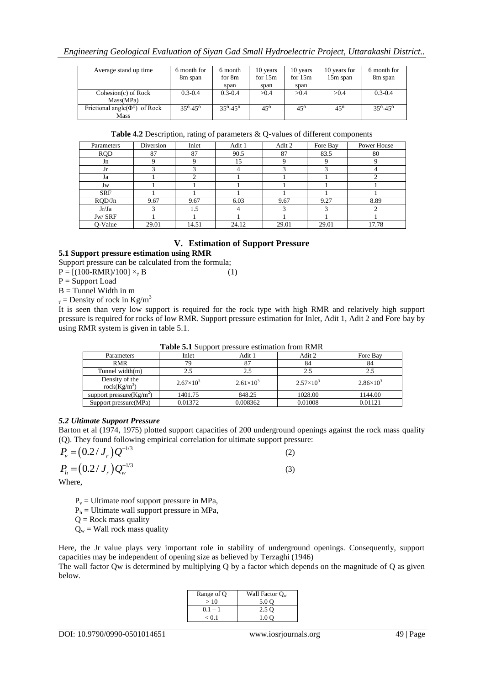| Average stand up time                              | 6 month for<br>8m span    | 6 month<br>for 8m<br>span | 10 years<br>for $15m$<br>span | 10 years<br>for $15m$<br>span | 10 years for<br>15m span | 6 month for<br>8m span    |
|----------------------------------------------------|---------------------------|---------------------------|-------------------------------|-------------------------------|--------------------------|---------------------------|
| $Cohesion(c)$ of Rock<br>Mass(MPa)                 | $0.3 - 0.4$               | $0.3 - 0.4$               | >0.4                          | > 0.4                         | >0.4                     | $0.3 - 0.4$               |
| Frictional angle( $\Phi^{\circ}$ ) of Rock<br>Mass | $35^{\circ} - 45^{\circ}$ | $35^{\circ} - 45^{\circ}$ | $45^{\circ}$                  | $45^{\circ}$                  | $45^{\circ}$             | $35^{\circ} - 45^{\circ}$ |

| Table 4.2 Description, rating of parameters & Q-values of different components |  |  |
|--------------------------------------------------------------------------------|--|--|
|                                                                                |  |  |

| Parameters | Diversion | Inlet | Adit 1 | Adit 2 | Fore Bay               | Power House |
|------------|-----------|-------|--------|--------|------------------------|-------------|
| <b>RQD</b> | 87        | 87    | 90.5   | 87     | 83.5                   | 80          |
| Jn         |           | Q     | 15     |        | Q                      |             |
| Jr         |           | 3     |        |        | $\mathbf{\mathcal{R}}$ |             |
| Ja         |           | ◠     |        |        |                        |             |
| Jw         |           |       |        |        |                        |             |
| <b>SRF</b> |           |       |        |        |                        |             |
| RQD/Jn     | 9.67      | 9.67  | 6.03   | 9.67   | 9.27                   | 8.89        |
| Jr/Ja      |           | 1.5   | 4      |        | 3                      |             |
| Jw/ SRF    |           |       |        |        |                        |             |
| O-Value    | 29.01     | 14.51 | 24.12  | 29.01  | 29.01                  | 17.78       |

## **V. Estimation of Support Pressure**

**5.1 Support pressure estimation using RMR**

Support pressure can be calculated from the formula;

 $P = [(100-RMR)/100] \times_{\gamma} B$  (1)

P = Support Load

 $B =$ Tunnel Width in m

 $_{\gamma}$  = Density of rock in Kg/m<sup>3</sup>

It is seen than very low support is required for the rock type with high RMR and relatively high support pressure is required for rocks of low RMR. Support pressure estimation for Inlet, Adit 1, Adit 2 and Fore bay by using RMR system is given in table 5.1.

|                                   |                    | <b>Table 3.1</b> Dupport pressure estimation from Kivity |                    |                    |
|-----------------------------------|--------------------|----------------------------------------------------------|--------------------|--------------------|
| Parameters                        | Inlet              | Adit 1                                                   | Adit 2             | Fore Bay           |
| <b>RMR</b>                        | 79                 | 87                                                       | 84                 | 84                 |
| Tunnel width $(m)$                | 2.5                | 2.5                                                      | 2.5                |                    |
| Density of the<br>rock $(Kg/m^3)$ | $2.67\times10^{3}$ | $2.61\times10^{3}$                                       | $2.57\times10^{3}$ | $2.86\times10^{3}$ |
| support pressure $(Kg/m^2)$       | 1401.75            | 848.25                                                   | 1028.00            | 1144.00            |
| Support pressure (MPa)            | 0.01372            | 0.008362                                                 | 0.01008            | 0.01121            |

**Table 5.1** Support pressure estimation from RMR

## *5.2 Ultimate Support Pressure*

Barton et al (1974, 1975) plotted support capacities of 200 underground openings against the rock mass quality (Q). They found following empirical correlation for ultimate support pressure:

$$
P_v = (0.2/J_r)Q^{-1/3}
$$
 (2)

$$
P_h = (0.2/J_r) Q_w^{-1/3}
$$
 (3)

Where,

 $P_v =$  Ultimate roof support pressure in MPa,

 $P_h$  = Ultimate wall support pressure in MPa,

 $Q =$  Rock mass quality

 $Q_w$  = Wall rock mass quality

Here, the Jr value plays very important role in stability of underground openings. Consequently, support capacities may be independent of opening size as believed by Terzaghi (1946)

The wall factor Qw is determined by multiplying Q by a factor which depends on the magnitude of Q as given below.

| Range of Q | Wall Factor $O_w$ |
|------------|-------------------|
| >10        | 5.0 Q             |
| $0.1 - 1$  | 2.5 Q             |
| < 0.1      |                   |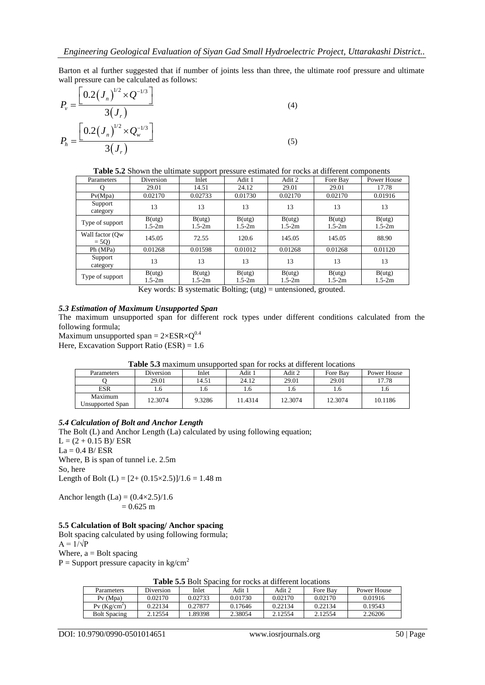Barton et al further suggested that if number of joints less than three, the ultimate roof pressure and ultimate wall pressure can be calculated as follows:

$$
P_v = \frac{\left[0.2(J_n)^{1/2} \times Q^{-1/3}\right]}{3(J_r)}
$$
\n
$$
P_h = \frac{\left[0.2(J_n)^{1/2} \times Q_w^{-1/3}\right]}{3(J_r)}
$$
\n(5)

**Table 5.2** Shown the ultimate support pressure estimated for rocks at different components

| Parameters                | Diversion            | Inlet                | Adit 1               | Adit 2                                                                                                                                                  | Fore Bay             | <b>Power House</b>   |
|---------------------------|----------------------|----------------------|----------------------|---------------------------------------------------------------------------------------------------------------------------------------------------------|----------------------|----------------------|
|                           | 29.01                | 14.51                | 24.12                | 29.01                                                                                                                                                   | 29.01                | 17.78                |
| P <sub>V</sub> (Mpa)      | 0.02170              | 0.02733              | 0.01730              | 0.02170                                                                                                                                                 | 0.02170              | 0.01916              |
| Support<br>category       | 13                   | 13                   | 13                   | 13                                                                                                                                                      | 13                   | 13                   |
| Type of support           | B(utg)<br>$1.5 - 2m$ | B(utg)<br>$1.5 - 2m$ | B(utg)<br>$1.5 - 2m$ | B(utg)<br>$1.5 - 2m$                                                                                                                                    | B(utg)<br>$1.5 - 2m$ | B(utg)<br>$1.5 - 2m$ |
| Wall factor (Ow<br>$= 5Q$ | 145.05               | 72.55                | 120.6                | 145.05                                                                                                                                                  | 145.05               | 88.90                |
| Ph (MPa)                  | 0.01268              | 0.01598              | 0.01012              | 0.01268                                                                                                                                                 | 0.01268              | 0.01120              |
| Support<br>category       | 13                   | 13                   | 13                   | 13                                                                                                                                                      | 13                   | 13                   |
| Type of support           | B(utg)<br>$1.5 - 2m$ | B(utg)<br>$1.5 - 2m$ | B(utg)<br>$1.5 - 2m$ | B(utg)<br>$1.5 - 2m$<br>$\mathbf{V}$ and $\mathbf{V}$ is the set of $\mathbf{V}$ and $\mathbf{V}$ is the set of $\mathbf{V}$ is the set of $\mathbf{V}$ | B(utg)<br>$1.5 - 2m$ | B(utg)<br>$1.5 - 2m$ |

Key words: B systematic Bolting; (utg) = untensioned, grouted.

#### *5.3 Estimation of Maximum Unsupported Span*

The maximum unsupported span for different rock types under different conditions calculated from the following formula;

Maximum unsupported span =  $2 \times ESR \times O^{0.4}$ Here, Excavation Support Ratio (ESR) =  $1.6$ 

> Parameters | Diversion | Inlet | Adit 1 | Adit 2 | Fore Bay | Power House Q 29.01 | 14.51 | 24.12 | 29.01 | 29.01 | 17.78 ESR | 1.6 | 1.6 | 1.6 | 1.6 | 1.6 Maximum Maximum<br>Unsupported Span 12.3074 9.3286 11.4314 12.3074 12.3074 10.1186

#### **Table 5.3** maximum unsupported span for rocks at different locations

## *5.4 Calculation of Bolt and Anchor Length*

The Bolt (L) and Anchor Length (La) calculated by using following equation;  $L = (2 + 0.15 B)/ ESR$  $La = 0.4 B/ESR$ Where, B is span of tunnel i.e. 2.5m So, here Length of Bolt (L) =  $[2+(0.15\times2.5)]/1.6 = 1.48$  m

Anchor length (La) =  $(0.4 \times 2.5)/1.6$  $= 0.625$  m

## **5.5 Calculation of Bolt spacing/ Anchor spacing**

Bolt spacing calculated by using following formula;  $A = 1/\sqrt{P}$ Where,  $a =$  Bolt spacing

 $P =$  Support pressure capacity in kg/cm<sup>2</sup>

| THERE ON DUIT DEAVILE TOT TOONS AT GITTOTOM TOORITOHS |           |         |         |         |          |             |  |  |
|-------------------------------------------------------|-----------|---------|---------|---------|----------|-------------|--|--|
| Parameters                                            | Diversion | Inlet   | Adit 1  | Adit 2  | Fore Bay | Power House |  |  |
| $Pv$ (Mpa)                                            | 0.02170   | 0.02733 | 0.01730 | 0.02170 | 0.02170  | 0.01916     |  |  |
| $Pv$ (Kg/cm <sup>2</sup> )                            | 0.22134   | 0.27877 | 0.17646 | 0.22134 | 0.22134  | 0.19543     |  |  |
| <b>Bolt Spacing</b>                                   | 2.12554   | .89398  | 2.38054 | 2.12554 | 2.12554  | 2.26206     |  |  |

**Table 5.5** Bolt Spacing for rocks at different locations